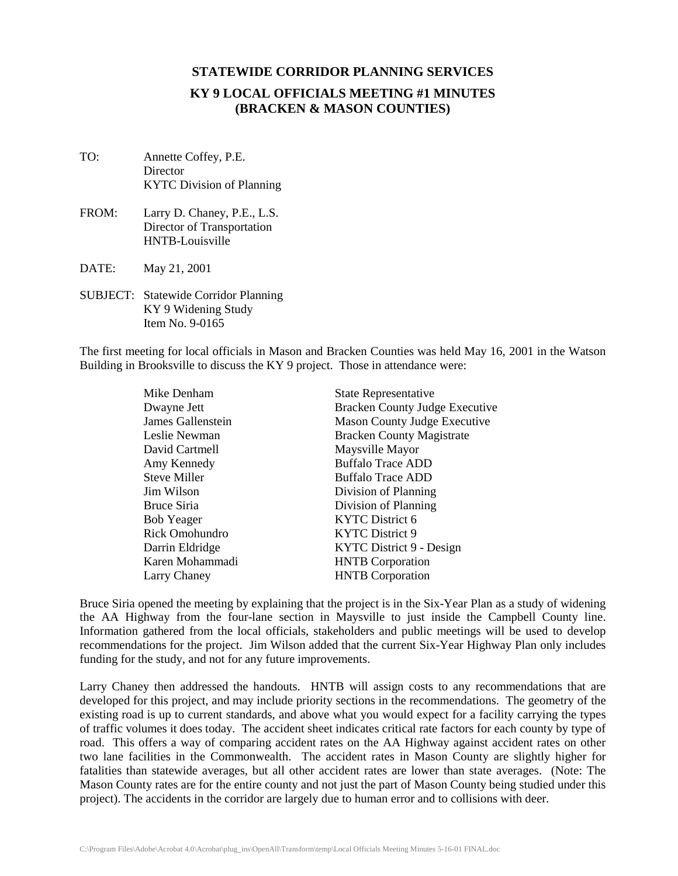### **KY 9 LOCAL OFFICIALS MEETING #1 MINUTES (BRACKEN & MASON COUNTIES)**

- TO: Annette Coffey, P.E. **Director** KYTC Division of Planning
- FROM: Larry D. Chaney, P.E., L.S. Director of Transportation HNTB-Louisville
- DATE: May 21, 2001
- SUBJECT: Statewide Corridor Planning KY 9 Widening Study Item No. 9-0165

The first meeting for local officials in Mason and Bracken Counties was held May 16, 2001 in the Watson Building in Brooksville to discuss the KY 9 project. Those in attendance were:

| Mike Denham       | <b>State Representative</b>           |
|-------------------|---------------------------------------|
| Dwayne Jett       | <b>Bracken County Judge Executive</b> |
| James Gallenstein | <b>Mason County Judge Executive</b>   |
| Leslie Newman     | <b>Bracken County Magistrate</b>      |
| David Cartmell    | Maysville Mayor                       |
| Amy Kennedy       | <b>Buffalo Trace ADD</b>              |
| Steve Miller      | Buffalo Trace ADD                     |
| Jim Wilson        | Division of Planning                  |
| Bruce Siria       | Division of Planning                  |
| <b>Bob Yeager</b> | <b>KYTC</b> District 6                |
| Rick Omohundro    | KYTC District 9                       |
| Darrin Eldridge   | KYTC District 9 - Design              |
| Karen Mohammadi   | <b>HNTB</b> Corporation               |
| Larry Chaney      | <b>HNTB</b> Corporation               |

Bruce Siria opened the meeting by explaining that the project is in the Six-Year Plan as a study of widening the AA Highway from the four-lane section in Maysville to just inside the Campbell County line. Information gathered from the local officials, stakeholders and public meetings will be used to develop recommendations for the project. Jim Wilson added that the current Six-Year Highway Plan only includes funding for the study, and not for any future improvements.

Larry Chaney then addressed the handouts. HNTB will assign costs to any recommendations that are developed for this project, and may include priority sections in the recommendations. The geometry of the existing road is up to current standards, and above what you would expect for a facility carrying the types of traffic volumes it does today. The accident sheet indicates critical rate factors for each county by type of road. This offers a way of comparing accident rates on the AA Highway against accident rates on other two lane facilities in the Commonwealth. The accident rates in Mason County are slightly higher for fatalities than statewide averages, but all other accident rates are lower than state averages. (Note: The Mason County rates are for the entire county and not just the part of Mason County being studied under this project). The accidents in the corridor are largely due to human error and to collisions with deer.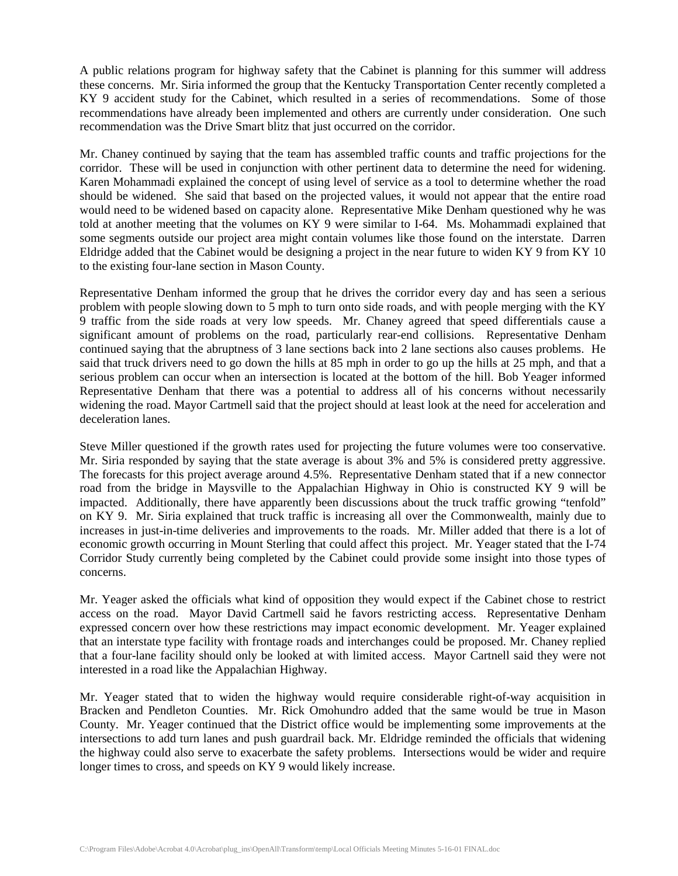A public relations program for highway safety that the Cabinet is planning for this summer will address these concerns. Mr. Siria informed the group that the Kentucky Transportation Center recently completed a KY 9 accident study for the Cabinet, which resulted in a series of recommendations. Some of those recommendations have already been implemented and others are currently under consideration. One such recommendation was the Drive Smart blitz that just occurred on the corridor.

Mr. Chaney continued by saying that the team has assembled traffic counts and traffic projections for the corridor. These will be used in conjunction with other pertinent data to determine the need for widening. Karen Mohammadi explained the concept of using level of service as a tool to determine whether the road should be widened. She said that based on the projected values, it would not appear that the entire road would need to be widened based on capacity alone. Representative Mike Denham questioned why he was told at another meeting that the volumes on KY 9 were similar to I-64. Ms. Mohammadi explained that some segments outside our project area might contain volumes like those found on the interstate. Darren Eldridge added that the Cabinet would be designing a project in the near future to widen KY 9 from KY 10 to the existing four-lane section in Mason County.

Representative Denham informed the group that he drives the corridor every day and has seen a serious problem with people slowing down to 5 mph to turn onto side roads, and with people merging with the KY 9 traffic from the side roads at very low speeds. Mr. Chaney agreed that speed differentials cause a significant amount of problems on the road, particularly rear-end collisions. Representative Denham continued saying that the abruptness of 3 lane sections back into 2 lane sections also causes problems. He said that truck drivers need to go down the hills at 85 mph in order to go up the hills at 25 mph, and that a serious problem can occur when an intersection is located at the bottom of the hill. Bob Yeager informed Representative Denham that there was a potential to address all of his concerns without necessarily widening the road. Mayor Cartmell said that the project should at least look at the need for acceleration and deceleration lanes.

Steve Miller questioned if the growth rates used for projecting the future volumes were too conservative. Mr. Siria responded by saying that the state average is about 3% and 5% is considered pretty aggressive. The forecasts for this project average around 4.5%. Representative Denham stated that if a new connector road from the bridge in Maysville to the Appalachian Highway in Ohio is constructed KY 9 will be impacted. Additionally, there have apparently been discussions about the truck traffic growing "tenfold" on KY 9. Mr. Siria explained that truck traffic is increasing all over the Commonwealth, mainly due to increases in just-in-time deliveries and improvements to the roads. Mr. Miller added that there is a lot of economic growth occurring in Mount Sterling that could affect this project. Mr. Yeager stated that the I-74 Corridor Study currently being completed by the Cabinet could provide some insight into those types of concerns.

Mr. Yeager asked the officials what kind of opposition they would expect if the Cabinet chose to restrict access on the road. Mayor David Cartmell said he favors restricting access. Representative Denham expressed concern over how these restrictions may impact economic development. Mr. Yeager explained that an interstate type facility with frontage roads and interchanges could be proposed. Mr. Chaney replied that a four-lane facility should only be looked at with limited access. Mayor Cartnell said they were not interested in a road like the Appalachian Highway.

Mr. Yeager stated that to widen the highway would require considerable right-of-way acquisition in Bracken and Pendleton Counties. Mr. Rick Omohundro added that the same would be true in Mason County. Mr. Yeager continued that the District office would be implementing some improvements at the intersections to add turn lanes and push guardrail back. Mr. Eldridge reminded the officials that widening the highway could also serve to exacerbate the safety problems. Intersections would be wider and require longer times to cross, and speeds on KY 9 would likely increase.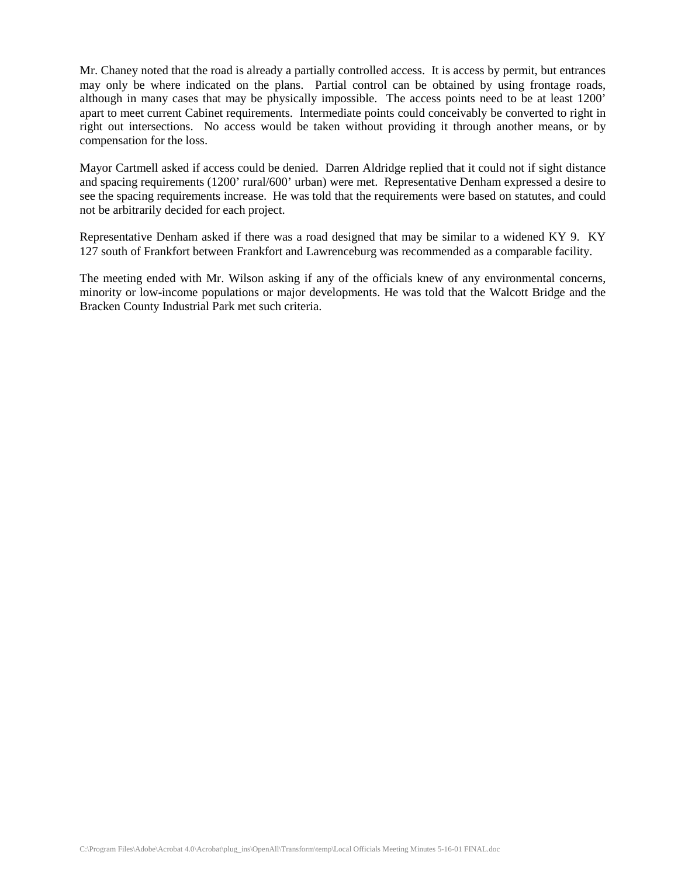Mr. Chaney noted that the road is already a partially controlled access. It is access by permit, but entrances may only be where indicated on the plans. Partial control can be obtained by using frontage roads, although in many cases that may be physically impossible. The access points need to be at least 1200' apart to meet current Cabinet requirements. Intermediate points could conceivably be converted to right in right out intersections. No access would be taken without providing it through another means, or by compensation for the loss.

Mayor Cartmell asked if access could be denied. Darren Aldridge replied that it could not if sight distance and spacing requirements (1200' rural/600' urban) were met. Representative Denham expressed a desire to see the spacing requirements increase. He was told that the requirements were based on statutes, and could not be arbitrarily decided for each project.

Representative Denham asked if there was a road designed that may be similar to a widened KY 9. KY 127 south of Frankfort between Frankfort and Lawrenceburg was recommended as a comparable facility.

The meeting ended with Mr. Wilson asking if any of the officials knew of any environmental concerns, minority or low-income populations or major developments. He was told that the Walcott Bridge and the Bracken County Industrial Park met such criteria.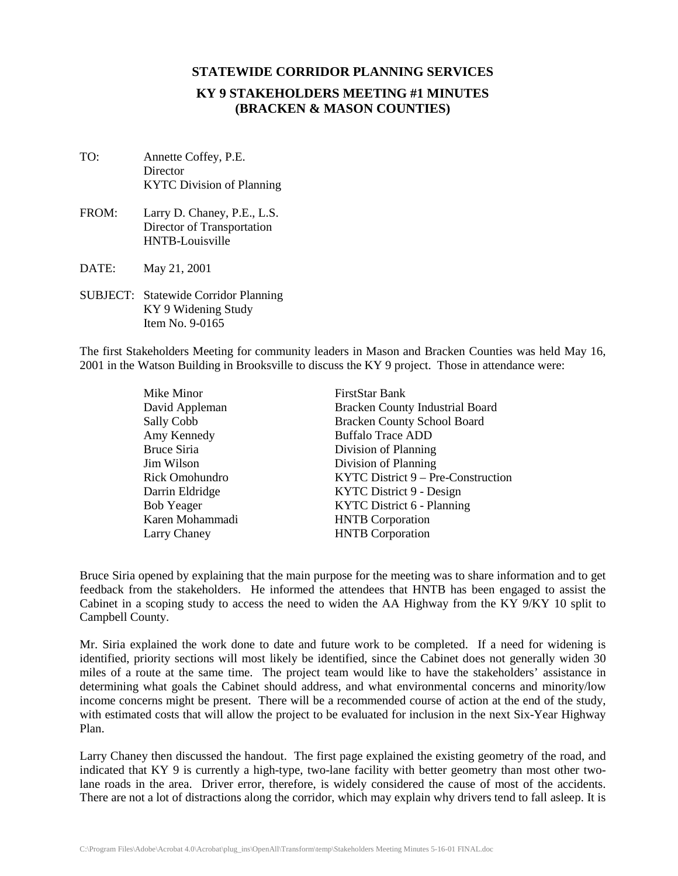# **KY 9 STAKEHOLDERS MEETING #1 MINUTES (BRACKEN & MASON COUNTIES)**

- TO: Annette Coffey, P.E. **Director** KYTC Division of Planning
- FROM: Larry D. Chaney, P.E., L.S. Director of Transportation HNTB-Louisville
- DATE: May 21, 2001
- SUBJECT: Statewide Corridor Planning KY 9 Widening Study Item No. 9-0165

The first Stakeholders Meeting for community leaders in Mason and Bracken Counties was held May 16, 2001 in the Watson Building in Brooksville to discuss the KY 9 project. Those in attendance were:

> Mike Minor FirstStar Bank Larry Chaney HNTB Corporation

David Appleman Bracken County Industrial Board Sally Cobb Bracken County School Board Amy Kennedy Buffalo Trace ADD Bruce Siria Division of Planning Jim Wilson Division of Planning Rick Omohundro KYTC District 9 – Pre-Construction Darrin Eldridge KYTC District 9 - Design Bob Yeager KYTC District 6 - Planning Karen Mohammadi HNTB Corporation

Bruce Siria opened by explaining that the main purpose for the meeting was to share information and to get feedback from the stakeholders. He informed the attendees that HNTB has been engaged to assist the Cabinet in a scoping study to access the need to widen the AA Highway from the KY 9/KY 10 split to Campbell County.

Mr. Siria explained the work done to date and future work to be completed. If a need for widening is identified, priority sections will most likely be identified, since the Cabinet does not generally widen 30 miles of a route at the same time. The project team would like to have the stakeholders' assistance in determining what goals the Cabinet should address, and what environmental concerns and minority/low income concerns might be present. There will be a recommended course of action at the end of the study, with estimated costs that will allow the project to be evaluated for inclusion in the next Six-Year Highway Plan.

Larry Chaney then discussed the handout. The first page explained the existing geometry of the road, and indicated that KY 9 is currently a high-type, two-lane facility with better geometry than most other twolane roads in the area. Driver error, therefore, is widely considered the cause of most of the accidents. There are not a lot of distractions along the corridor, which may explain why drivers tend to fall asleep. It is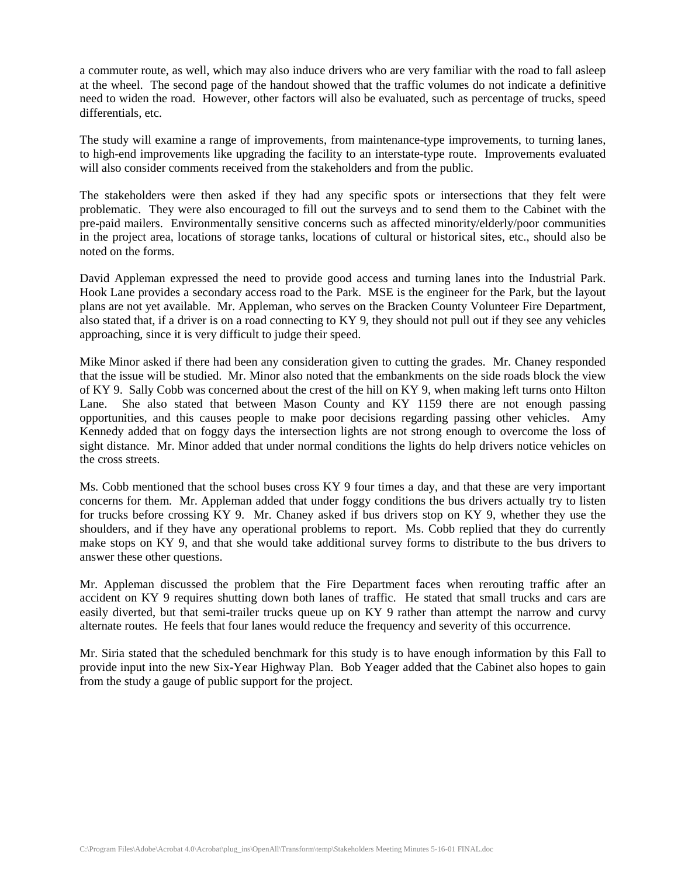a commuter route, as well, which may also induce drivers who are very familiar with the road to fall asleep at the wheel. The second page of the handout showed that the traffic volumes do not indicate a definitive need to widen the road. However, other factors will also be evaluated, such as percentage of trucks, speed differentials, etc.

The study will examine a range of improvements, from maintenance-type improvements, to turning lanes, to high-end improvements like upgrading the facility to an interstate-type route. Improvements evaluated will also consider comments received from the stakeholders and from the public.

The stakeholders were then asked if they had any specific spots or intersections that they felt were problematic. They were also encouraged to fill out the surveys and to send them to the Cabinet with the pre-paid mailers. Environmentally sensitive concerns such as affected minority/elderly/poor communities in the project area, locations of storage tanks, locations of cultural or historical sites, etc., should also be noted on the forms.

David Appleman expressed the need to provide good access and turning lanes into the Industrial Park. Hook Lane provides a secondary access road to the Park. MSE is the engineer for the Park, but the layout plans are not yet available. Mr. Appleman, who serves on the Bracken County Volunteer Fire Department, also stated that, if a driver is on a road connecting to KY 9, they should not pull out if they see any vehicles approaching, since it is very difficult to judge their speed.

Mike Minor asked if there had been any consideration given to cutting the grades. Mr. Chaney responded that the issue will be studied. Mr. Minor also noted that the embankments on the side roads block the view of KY 9. Sally Cobb was concerned about the crest of the hill on KY 9, when making left turns onto Hilton Lane. She also stated that between Mason County and KY 1159 there are not enough passing opportunities, and this causes people to make poor decisions regarding passing other vehicles. Amy Kennedy added that on foggy days the intersection lights are not strong enough to overcome the loss of sight distance. Mr. Minor added that under normal conditions the lights do help drivers notice vehicles on the cross streets.

Ms. Cobb mentioned that the school buses cross KY 9 four times a day, and that these are very important concerns for them. Mr. Appleman added that under foggy conditions the bus drivers actually try to listen for trucks before crossing KY 9. Mr. Chaney asked if bus drivers stop on KY 9, whether they use the shoulders, and if they have any operational problems to report. Ms. Cobb replied that they do currently make stops on KY 9, and that she would take additional survey forms to distribute to the bus drivers to answer these other questions.

Mr. Appleman discussed the problem that the Fire Department faces when rerouting traffic after an accident on KY 9 requires shutting down both lanes of traffic. He stated that small trucks and cars are easily diverted, but that semi-trailer trucks queue up on KY 9 rather than attempt the narrow and curvy alternate routes. He feels that four lanes would reduce the frequency and severity of this occurrence.

Mr. Siria stated that the scheduled benchmark for this study is to have enough information by this Fall to provide input into the new Six-Year Highway Plan. Bob Yeager added that the Cabinet also hopes to gain from the study a gauge of public support for the project.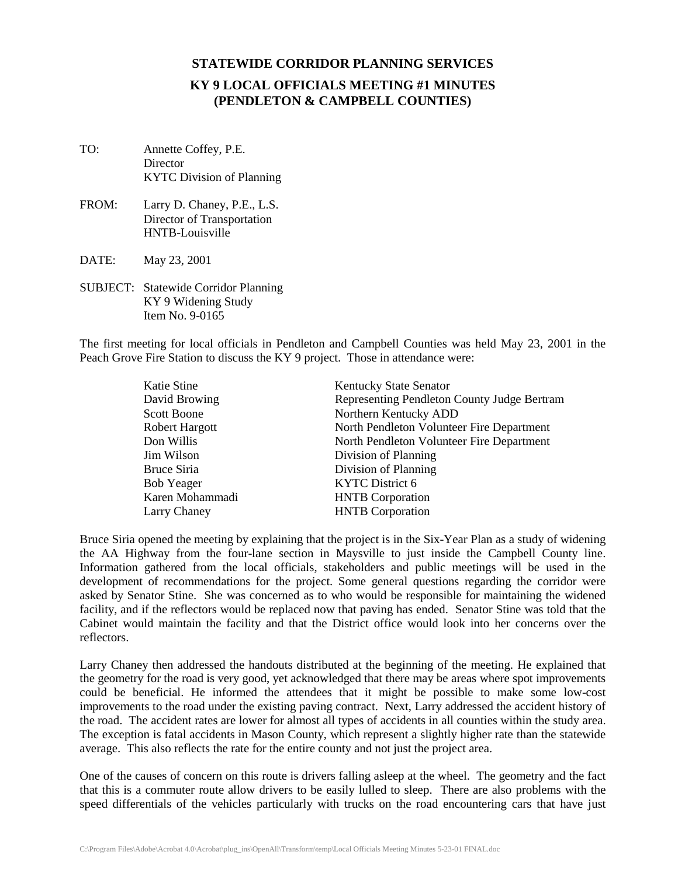# **STATEWIDE CORRIDOR PLANNING SERVICES KY 9 LOCAL OFFICIALS MEETING #1 MINUTES (PENDLETON & CAMPBELL COUNTIES)**

- TO: Annette Coffey, P.E. **Director** KYTC Division of Planning
- FROM: Larry D. Chaney, P.E., L.S. Director of Transportation HNTB-Louisville
- DATE: May 23, 2001
- SUBJECT: Statewide Corridor Planning KY 9 Widening Study Item No. 9-0165

The first meeting for local officials in Pendleton and Campbell Counties was held May 23, 2001 in the Peach Grove Fire Station to discuss the KY 9 project. Those in attendance were:

| Katie Stine           | <b>Kentucky State Senator</b>               |
|-----------------------|---------------------------------------------|
| David Browing         | Representing Pendleton County Judge Bertram |
| <b>Scott Boone</b>    | Northern Kentucky ADD                       |
| <b>Robert Hargott</b> | North Pendleton Volunteer Fire Department   |
| Don Willis            | North Pendleton Volunteer Fire Department   |
| Jim Wilson            | Division of Planning                        |
| Bruce Siria           | Division of Planning                        |
| <b>Bob Yeager</b>     | <b>KYTC</b> District 6                      |
| Karen Mohammadi       | <b>HNTB</b> Corporation                     |
| Larry Chaney          | <b>HNTB</b> Corporation                     |

Bruce Siria opened the meeting by explaining that the project is in the Six-Year Plan as a study of widening the AA Highway from the four-lane section in Maysville to just inside the Campbell County line. Information gathered from the local officials, stakeholders and public meetings will be used in the development of recommendations for the project. Some general questions regarding the corridor were asked by Senator Stine. She was concerned as to who would be responsible for maintaining the widened facility, and if the reflectors would be replaced now that paving has ended. Senator Stine was told that the Cabinet would maintain the facility and that the District office would look into her concerns over the reflectors.

Larry Chaney then addressed the handouts distributed at the beginning of the meeting. He explained that the geometry for the road is very good, yet acknowledged that there may be areas where spot improvements could be beneficial. He informed the attendees that it might be possible to make some low-cost improvements to the road under the existing paving contract. Next, Larry addressed the accident history of the road. The accident rates are lower for almost all types of accidents in all counties within the study area. The exception is fatal accidents in Mason County, which represent a slightly higher rate than the statewide average. This also reflects the rate for the entire county and not just the project area.

One of the causes of concern on this route is drivers falling asleep at the wheel. The geometry and the fact that this is a commuter route allow drivers to be easily lulled to sleep. There are also problems with the speed differentials of the vehicles particularly with trucks on the road encountering cars that have just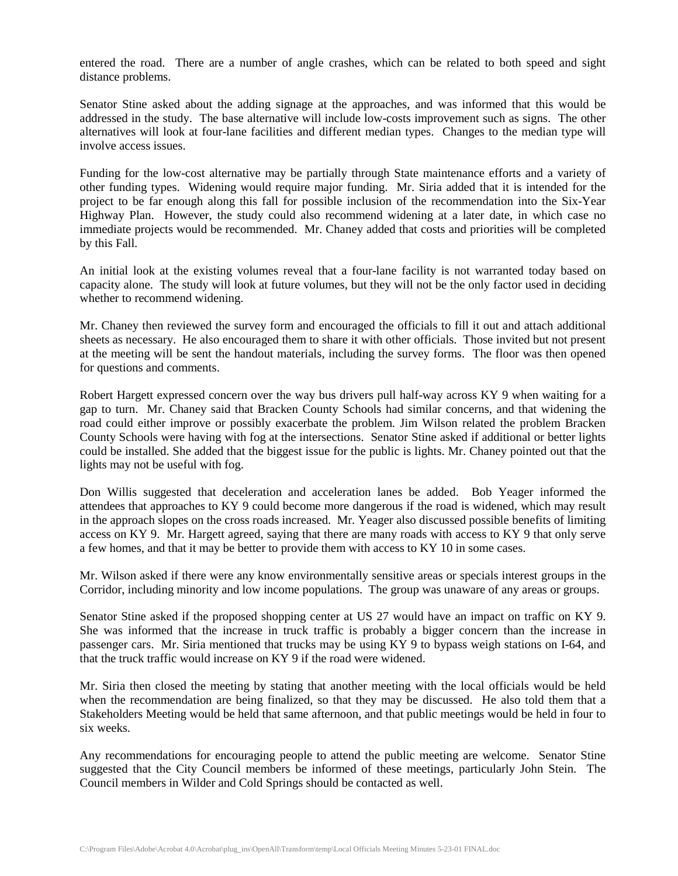entered the road. There are a number of angle crashes, which can be related to both speed and sight distance problems.

Senator Stine asked about the adding signage at the approaches, and was informed that this would be addressed in the study. The base alternative will include low-costs improvement such as signs. The other alternatives will look at four-lane facilities and different median types. Changes to the median type will involve access issues.

Funding for the low-cost alternative may be partially through State maintenance efforts and a variety of other funding types. Widening would require major funding. Mr. Siria added that it is intended for the project to be far enough along this fall for possible inclusion of the recommendation into the Six-Year Highway Plan. However, the study could also recommend widening at a later date, in which case no immediate projects would be recommended. Mr. Chaney added that costs and priorities will be completed by this Fall.

An initial look at the existing volumes reveal that a four-lane facility is not warranted today based on capacity alone. The study will look at future volumes, but they will not be the only factor used in deciding whether to recommend widening.

Mr. Chaney then reviewed the survey form and encouraged the officials to fill it out and attach additional sheets as necessary. He also encouraged them to share it with other officials. Those invited but not present at the meeting will be sent the handout materials, including the survey forms. The floor was then opened for questions and comments.

Robert Hargett expressed concern over the way bus drivers pull half-way across KY 9 when waiting for a gap to turn. Mr. Chaney said that Bracken County Schools had similar concerns, and that widening the road could either improve or possibly exacerbate the problem. Jim Wilson related the problem Bracken County Schools were having with fog at the intersections. Senator Stine asked if additional or better lights could be installed. She added that the biggest issue for the public is lights. Mr. Chaney pointed out that the lights may not be useful with fog.

Don Willis suggested that deceleration and acceleration lanes be added. Bob Yeager informed the attendees that approaches to KY 9 could become more dangerous if the road is widened, which may result in the approach slopes on the cross roads increased. Mr. Yeager also discussed possible benefits of limiting access on KY 9. Mr. Hargett agreed, saying that there are many roads with access to KY 9 that only serve a few homes, and that it may be better to provide them with access to KY 10 in some cases.

Mr. Wilson asked if there were any know environmentally sensitive areas or specials interest groups in the Corridor, including minority and low income populations. The group was unaware of any areas or groups.

Senator Stine asked if the proposed shopping center at US 27 would have an impact on traffic on KY 9. She was informed that the increase in truck traffic is probably a bigger concern than the increase in passenger cars. Mr. Siria mentioned that trucks may be using KY 9 to bypass weigh stations on I-64, and that the truck traffic would increase on KY 9 if the road were widened.

Mr. Siria then closed the meeting by stating that another meeting with the local officials would be held when the recommendation are being finalized, so that they may be discussed. He also told them that a Stakeholders Meeting would be held that same afternoon, and that public meetings would be held in four to six weeks.

Any recommendations for encouraging people to attend the public meeting are welcome. Senator Stine suggested that the City Council members be informed of these meetings, particularly John Stein. The Council members in Wilder and Cold Springs should be contacted as well.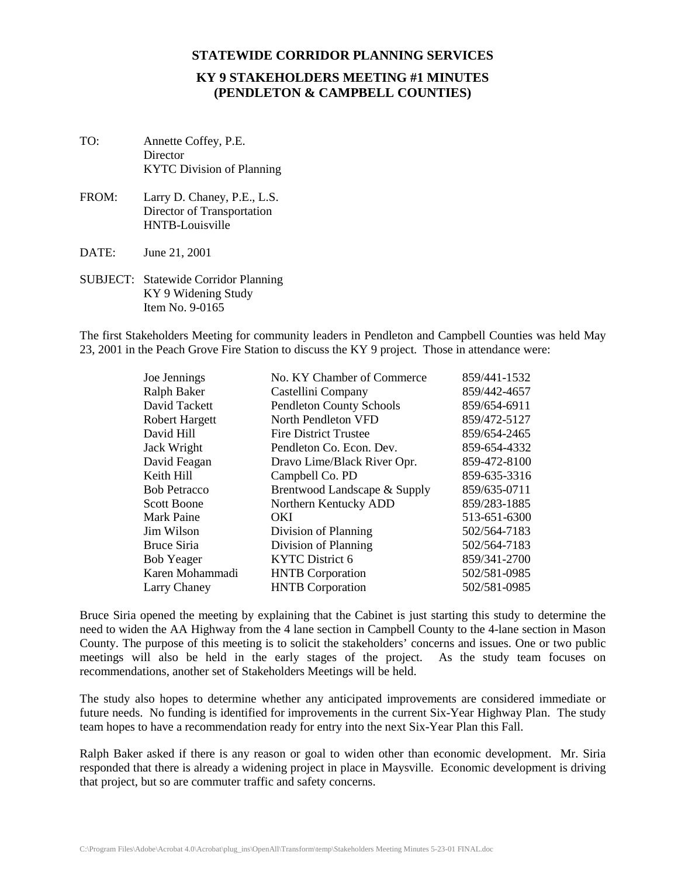# **KY 9 STAKEHOLDERS MEETING #1 MINUTES (PENDLETON & CAMPBELL COUNTIES)**

- TO: Annette Coffey, P.E. **Director** KYTC Division of Planning
- FROM: Larry D. Chaney, P.E., L.S. Director of Transportation HNTB-Louisville
- DATE: June 21, 2001
- SUBJECT: Statewide Corridor Planning KY 9 Widening Study Item No. 9-0165

The first Stakeholders Meeting for community leaders in Pendleton and Campbell Counties was held May 23, 2001 in the Peach Grove Fire Station to discuss the KY 9 project. Those in attendance were:

| Joe Jennings          | No. KY Chamber of Commerce      | 859/441-1532 |
|-----------------------|---------------------------------|--------------|
| Ralph Baker           | Castellini Company              | 859/442-4657 |
| David Tackett         | <b>Pendleton County Schools</b> | 859/654-6911 |
| <b>Robert Hargett</b> | North Pendleton VFD             | 859/472-5127 |
| David Hill            | <b>Fire District Trustee</b>    | 859/654-2465 |
| Jack Wright           | Pendleton Co. Econ. Dev.        | 859-654-4332 |
| David Feagan          | Dravo Lime/Black River Opr.     | 859-472-8100 |
| Keith Hill            | Campbell Co. PD                 | 859-635-3316 |
| <b>Bob Petracco</b>   | Brentwood Landscape & Supply    | 859/635-0711 |
| <b>Scott Boone</b>    | Northern Kentucky ADD           | 859/283-1885 |
| Mark Paine            | OKI                             | 513-651-6300 |
| Jim Wilson            | Division of Planning            | 502/564-7183 |
| Bruce Siria           | Division of Planning            | 502/564-7183 |
| <b>Bob Yeager</b>     | <b>KYTC</b> District 6          | 859/341-2700 |
| Karen Mohammadi       | <b>HNTB</b> Corporation         | 502/581-0985 |
| Larry Chaney          | <b>HNTB</b> Corporation         | 502/581-0985 |

Bruce Siria opened the meeting by explaining that the Cabinet is just starting this study to determine the need to widen the AA Highway from the 4 lane section in Campbell County to the 4-lane section in Mason County. The purpose of this meeting is to solicit the stakeholders' concerns and issues. One or two public meetings will also be held in the early stages of the project. As the study team focuses on recommendations, another set of Stakeholders Meetings will be held.

The study also hopes to determine whether any anticipated improvements are considered immediate or future needs. No funding is identified for improvements in the current Six-Year Highway Plan. The study team hopes to have a recommendation ready for entry into the next Six-Year Plan this Fall.

Ralph Baker asked if there is any reason or goal to widen other than economic development. Mr. Siria responded that there is already a widening project in place in Maysville. Economic development is driving that project, but so are commuter traffic and safety concerns.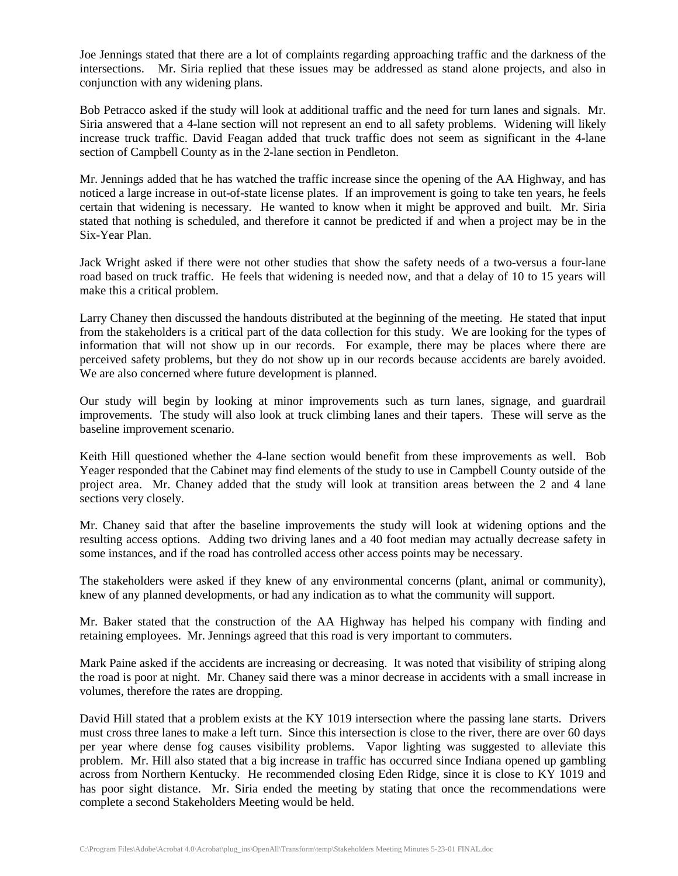Joe Jennings stated that there are a lot of complaints regarding approaching traffic and the darkness of the intersections. Mr. Siria replied that these issues may be addressed as stand alone projects, and also in conjunction with any widening plans.

Bob Petracco asked if the study will look at additional traffic and the need for turn lanes and signals. Mr. Siria answered that a 4-lane section will not represent an end to all safety problems. Widening will likely increase truck traffic. David Feagan added that truck traffic does not seem as significant in the 4-lane section of Campbell County as in the 2-lane section in Pendleton.

Mr. Jennings added that he has watched the traffic increase since the opening of the AA Highway, and has noticed a large increase in out-of-state license plates. If an improvement is going to take ten years, he feels certain that widening is necessary. He wanted to know when it might be approved and built. Mr. Siria stated that nothing is scheduled, and therefore it cannot be predicted if and when a project may be in the Six-Year Plan.

Jack Wright asked if there were not other studies that show the safety needs of a two-versus a four-lane road based on truck traffic. He feels that widening is needed now, and that a delay of 10 to 15 years will make this a critical problem.

Larry Chaney then discussed the handouts distributed at the beginning of the meeting. He stated that input from the stakeholders is a critical part of the data collection for this study. We are looking for the types of information that will not show up in our records. For example, there may be places where there are perceived safety problems, but they do not show up in our records because accidents are barely avoided. We are also concerned where future development is planned.

Our study will begin by looking at minor improvements such as turn lanes, signage, and guardrail improvements. The study will also look at truck climbing lanes and their tapers. These will serve as the baseline improvement scenario.

Keith Hill questioned whether the 4-lane section would benefit from these improvements as well. Bob Yeager responded that the Cabinet may find elements of the study to use in Campbell County outside of the project area. Mr. Chaney added that the study will look at transition areas between the 2 and 4 lane sections very closely.

Mr. Chaney said that after the baseline improvements the study will look at widening options and the resulting access options. Adding two driving lanes and a 40 foot median may actually decrease safety in some instances, and if the road has controlled access other access points may be necessary.

The stakeholders were asked if they knew of any environmental concerns (plant, animal or community), knew of any planned developments, or had any indication as to what the community will support.

Mr. Baker stated that the construction of the AA Highway has helped his company with finding and retaining employees. Mr. Jennings agreed that this road is very important to commuters.

Mark Paine asked if the accidents are increasing or decreasing. It was noted that visibility of striping along the road is poor at night. Mr. Chaney said there was a minor decrease in accidents with a small increase in volumes, therefore the rates are dropping.

David Hill stated that a problem exists at the KY 1019 intersection where the passing lane starts. Drivers must cross three lanes to make a left turn. Since this intersection is close to the river, there are over 60 days per year where dense fog causes visibility problems. Vapor lighting was suggested to alleviate this problem. Mr. Hill also stated that a big increase in traffic has occurred since Indiana opened up gambling across from Northern Kentucky. He recommended closing Eden Ridge, since it is close to KY 1019 and has poor sight distance. Mr. Siria ended the meeting by stating that once the recommendations were complete a second Stakeholders Meeting would be held.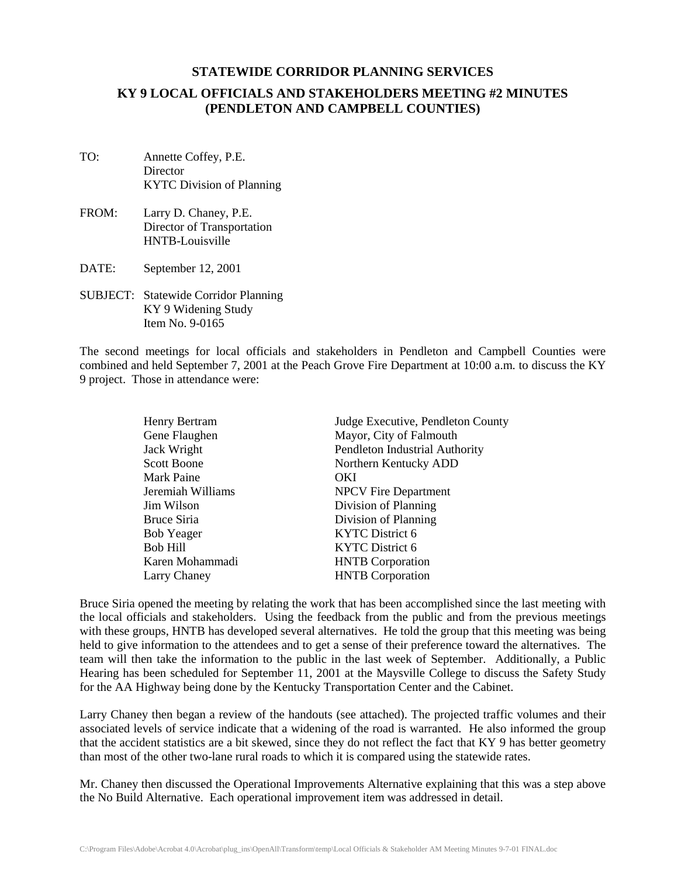### **KY 9 LOCAL OFFICIALS AND STAKEHOLDERS MEETING #2 MINUTES (PENDLETON AND CAMPBELL COUNTIES)**

- TO: Annette Coffey, P.E. **Director** KYTC Division of Planning
- FROM: Larry D. Chaney, P.E. Director of Transportation HNTB-Louisville
- DATE: September 12, 2001
- SUBJECT: Statewide Corridor Planning KY 9 Widening Study Item No. 9-0165

The second meetings for local officials and stakeholders in Pendleton and Campbell Counties were combined and held September 7, 2001 at the Peach Grove Fire Department at 10:00 a.m. to discuss the KY 9 project. Those in attendance were:

| Judge Executive, Pendleton County |
|-----------------------------------|
| Mayor, City of Falmouth           |
| Pendleton Industrial Authority    |
| Northern Kentucky ADD             |
| OKI                               |
| <b>NPCV</b> Fire Department       |
| Division of Planning              |
| Division of Planning              |
| <b>KYTC</b> District 6            |
| KYTC District 6                   |
| <b>HNTB</b> Corporation           |
| <b>HNTB</b> Corporation           |
|                                   |

Bruce Siria opened the meeting by relating the work that has been accomplished since the last meeting with the local officials and stakeholders. Using the feedback from the public and from the previous meetings with these groups, HNTB has developed several alternatives. He told the group that this meeting was being held to give information to the attendees and to get a sense of their preference toward the alternatives. The team will then take the information to the public in the last week of September. Additionally, a Public Hearing has been scheduled for September 11, 2001 at the Maysville College to discuss the Safety Study for the AA Highway being done by the Kentucky Transportation Center and the Cabinet.

Larry Chaney then began a review of the handouts (see attached). The projected traffic volumes and their associated levels of service indicate that a widening of the road is warranted. He also informed the group that the accident statistics are a bit skewed, since they do not reflect the fact that KY 9 has better geometry than most of the other two-lane rural roads to which it is compared using the statewide rates.

Mr. Chaney then discussed the Operational Improvements Alternative explaining that this was a step above the No Build Alternative. Each operational improvement item was addressed in detail.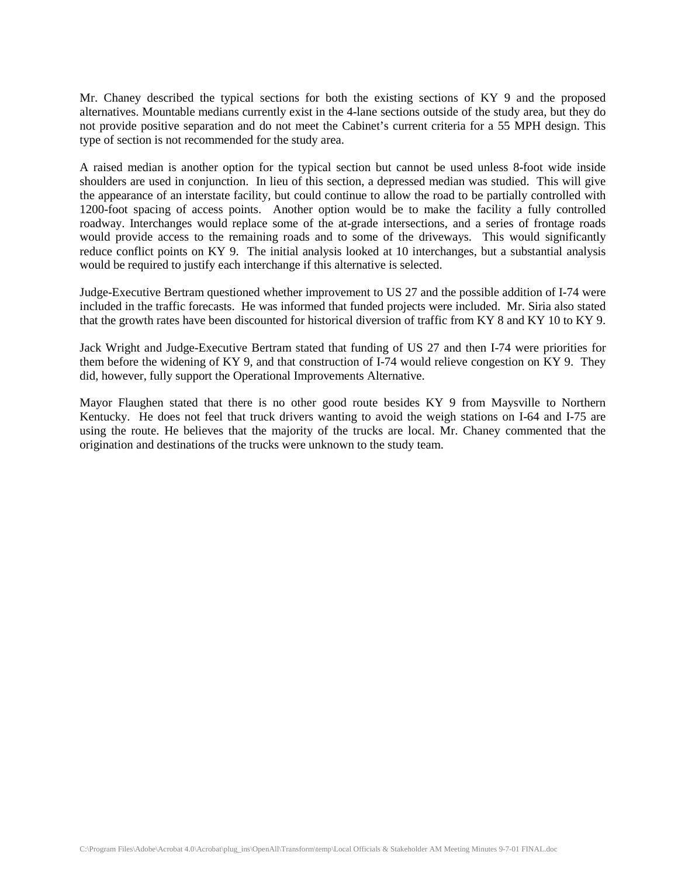Mr. Chaney described the typical sections for both the existing sections of KY 9 and the proposed alternatives. Mountable medians currently exist in the 4-lane sections outside of the study area, but they do not provide positive separation and do not meet the Cabinet's current criteria for a 55 MPH design. This type of section is not recommended for the study area.

A raised median is another option for the typical section but cannot be used unless 8-foot wide inside shoulders are used in conjunction. In lieu of this section, a depressed median was studied. This will give the appearance of an interstate facility, but could continue to allow the road to be partially controlled with 1200-foot spacing of access points. Another option would be to make the facility a fully controlled roadway. Interchanges would replace some of the at-grade intersections, and a series of frontage roads would provide access to the remaining roads and to some of the driveways. This would significantly reduce conflict points on KY 9. The initial analysis looked at 10 interchanges, but a substantial analysis would be required to justify each interchange if this alternative is selected.

Judge-Executive Bertram questioned whether improvement to US 27 and the possible addition of I-74 were included in the traffic forecasts. He was informed that funded projects were included. Mr. Siria also stated that the growth rates have been discounted for historical diversion of traffic from KY 8 and KY 10 to KY 9.

Jack Wright and Judge-Executive Bertram stated that funding of US 27 and then I-74 were priorities for them before the widening of KY 9, and that construction of I-74 would relieve congestion on KY 9. They did, however, fully support the Operational Improvements Alternative.

Mayor Flaughen stated that there is no other good route besides KY 9 from Maysville to Northern Kentucky. He does not feel that truck drivers wanting to avoid the weigh stations on I-64 and I-75 are using the route. He believes that the majority of the trucks are local. Mr. Chaney commented that the origination and destinations of the trucks were unknown to the study team.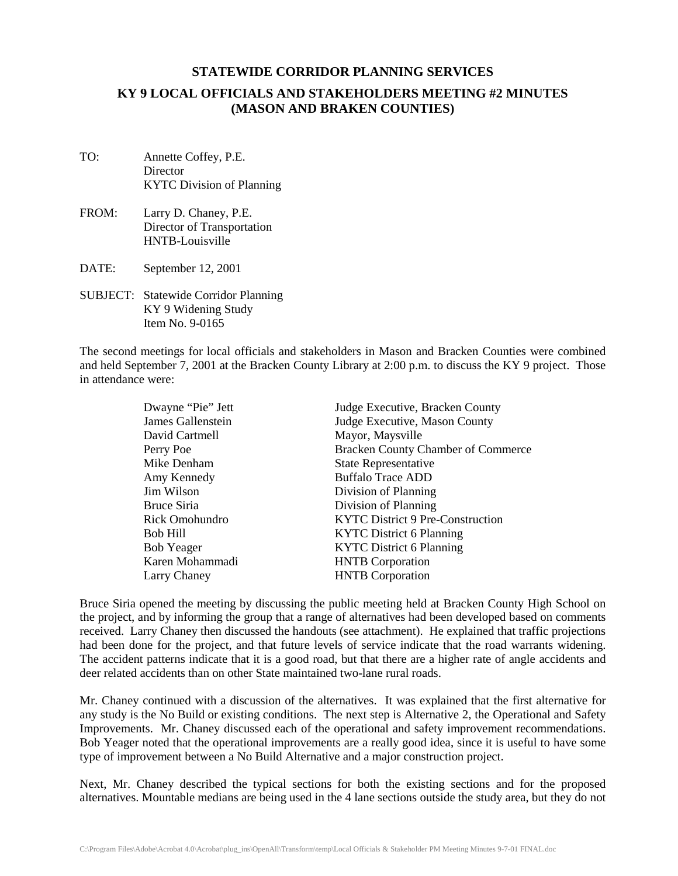# **KY 9 LOCAL OFFICIALS AND STAKEHOLDERS MEETING #2 MINUTES (MASON AND BRAKEN COUNTIES)**

- TO: Annette Coffey, P.E. **Director** KYTC Division of Planning
- FROM: Larry D. Chaney, P.E. Director of Transportation HNTB-Louisville
- DATE: September 12, 2001
- SUBJECT: Statewide Corridor Planning KY 9 Widening Study Item No. 9-0165

The second meetings for local officials and stakeholders in Mason and Bracken Counties were combined and held September 7, 2001 at the Bracken County Library at 2:00 p.m. to discuss the KY 9 project. Those in attendance were:

| Dwayne "Pie" Jett | Judge Executive, Bracken County           |
|-------------------|-------------------------------------------|
| James Gallenstein | Judge Executive, Mason County             |
| David Cartmell    | Mayor, Maysville                          |
| Perry Poe         | <b>Bracken County Chamber of Commerce</b> |
| Mike Denham       | <b>State Representative</b>               |
| Amy Kennedy       | <b>Buffalo Trace ADD</b>                  |
| Jim Wilson        | Division of Planning                      |
| Bruce Siria       | Division of Planning                      |
| Rick Omohundro    | KYTC District 9 Pre-Construction          |
| <b>Bob Hill</b>   | <b>KYTC</b> District 6 Planning           |
| <b>Bob Yeager</b> | <b>KYTC District 6 Planning</b>           |
| Karen Mohammadi   | <b>HNTB</b> Corporation                   |
| Larry Chaney      | <b>HNTB</b> Corporation                   |

Bruce Siria opened the meeting by discussing the public meeting held at Bracken County High School on the project, and by informing the group that a range of alternatives had been developed based on comments received. Larry Chaney then discussed the handouts (see attachment). He explained that traffic projections had been done for the project, and that future levels of service indicate that the road warrants widening. The accident patterns indicate that it is a good road, but that there are a higher rate of angle accidents and deer related accidents than on other State maintained two-lane rural roads.

Mr. Chaney continued with a discussion of the alternatives. It was explained that the first alternative for any study is the No Build or existing conditions. The next step is Alternative 2, the Operational and Safety Improvements. Mr. Chaney discussed each of the operational and safety improvement recommendations. Bob Yeager noted that the operational improvements are a really good idea, since it is useful to have some type of improvement between a No Build Alternative and a major construction project.

Next, Mr. Chaney described the typical sections for both the existing sections and for the proposed alternatives. Mountable medians are being used in the 4 lane sections outside the study area, but they do not